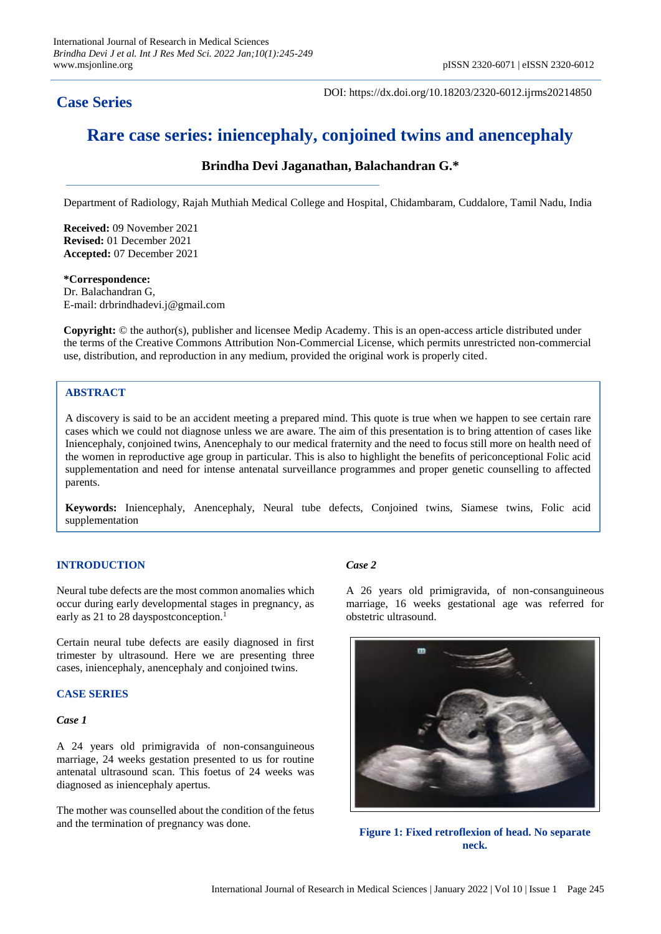# **Case Series**

DOI: https://dx.doi.org/10.18203/2320-6012.ijrms20214850

# **Rare case series: iniencephaly, conjoined twins and anencephaly**

# **Brindha Devi Jaganathan, Balachandran G.\***

Department of Radiology, Rajah Muthiah Medical College and Hospital, Chidambaram, Cuddalore, Tamil Nadu, India

**Received:** 09 November 2021 **Revised:** 01 December 2021 **Accepted:** 07 December 2021

#### **\*Correspondence:** Dr. Balachandran G, E-mail: drbrindhadevi.j@gmail.com

**Copyright:** © the author(s), publisher and licensee Medip Academy. This is an open-access article distributed under the terms of the Creative Commons Attribution Non-Commercial License, which permits unrestricted non-commercial use, distribution, and reproduction in any medium, provided the original work is properly cited.

### **ABSTRACT**

A discovery is said to be an accident meeting a prepared mind. This quote is true when we happen to see certain rare cases which we could not diagnose unless we are aware. The aim of this presentation is to bring attention of cases like Iniencephaly, conjoined twins, Anencephaly to our medical fraternity and the need to focus still more on health need of the women in reproductive age group in particular. This is also to highlight the benefits of periconceptional Folic acid supplementation and need for intense antenatal surveillance programmes and proper genetic counselling to affected parents.

**Keywords:** Iniencephaly, Anencephaly, Neural tube defects, Conjoined twins, Siamese twins, Folic acid supplementation

## **INTRODUCTION**

Neural tube defects are the most common anomalies which occur during early developmental stages in pregnancy, as early as 21 to 28 dayspostconception.<sup>1</sup>

Certain neural tube defects are easily diagnosed in first trimester by ultrasound. Here we are presenting three cases, iniencephaly, anencephaly and conjoined twins.

#### **CASE SERIES**

#### *Case 1*

A 24 years old primigravida of non-consanguineous marriage, 24 weeks gestation presented to us for routine antenatal ultrasound scan. This foetus of 24 weeks was diagnosed as iniencephaly apertus.

The mother was counselled about the condition of the fetus and the termination of pregnancy was done.

#### *Case 2*

A 26 years old primigravida, of non-consanguineous marriage, 16 weeks gestational age was referred for obstetric ultrasound.



**Figure 1: Fixed retroflexion of head. No separate neck.**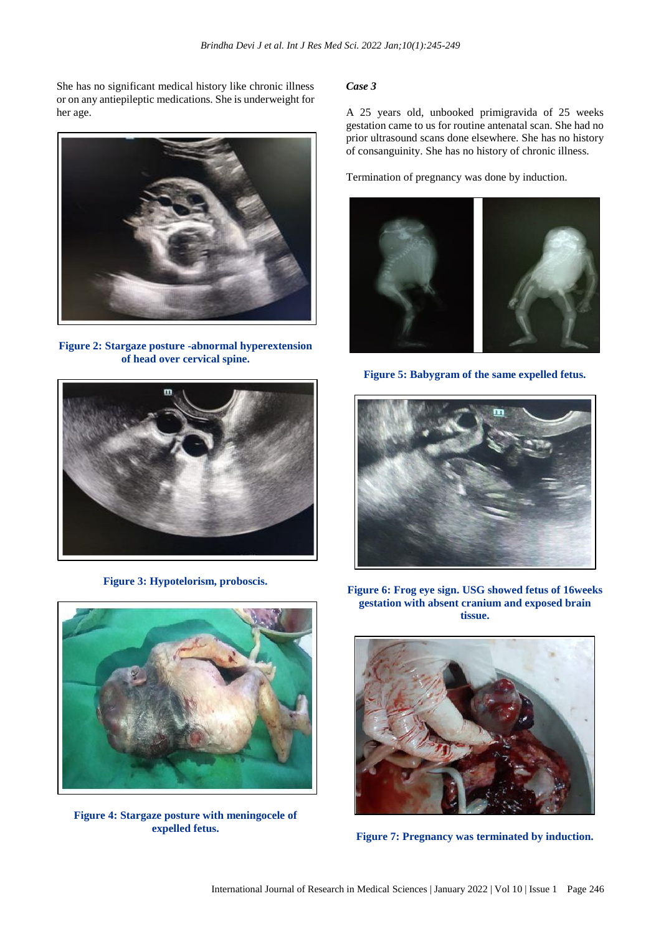She has no significant medical history like chronic illness or on any antiepileptic medications. She is underweight for her age.



**Figure 2: Stargaze posture -abnormal hyperextension of head over cervical spine.**



**Figure 3: Hypotelorism, proboscis.**



**Figure 4: Stargaze posture with meningocele of expelled fetus.**

#### *Case 3*

A 25 years old, unbooked primigravida of 25 weeks gestation came to us for routine antenatal scan. She had no prior ultrasound scans done elsewhere. She has no history of consanguinity. She has no history of chronic illness.

Termination of pregnancy was done by induction.



**Figure 5: Babygram of the same expelled fetus.**



**Figure 6: Frog eye sign. USG showed fetus of 16weeks gestation with absent cranium and exposed brain tissue.**



**Figure 7: Pregnancy was terminated by induction.**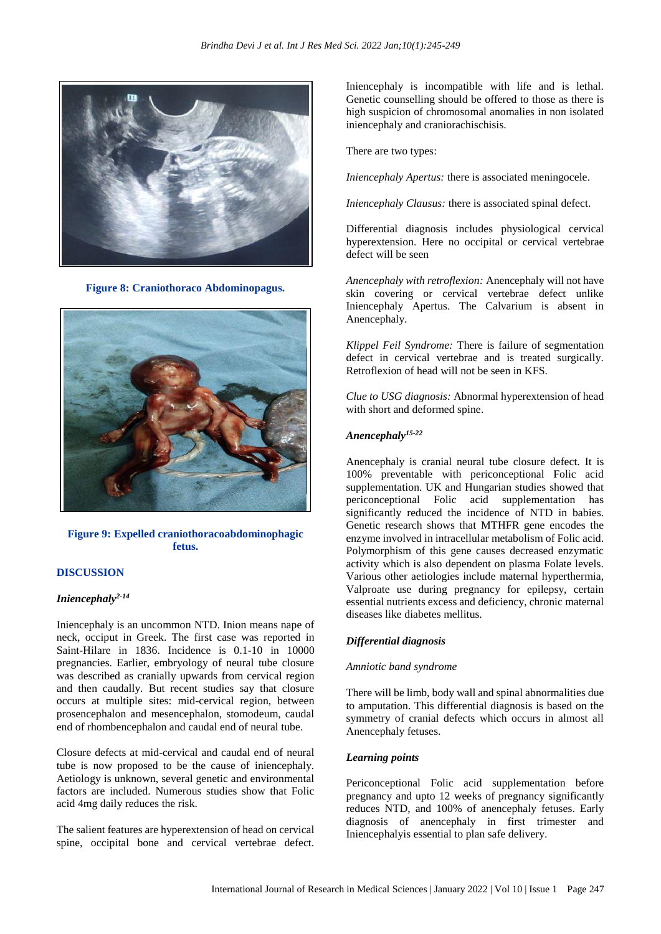

**Figure 8: Craniothoraco Abdominopagus.**



#### **Figure 9: Expelled craniothoracoabdominophagic fetus.**

#### **DISCUSSION**

#### *Iniencephaly2-14*

Iniencephaly is an uncommon NTD. Inion means nape of neck, occiput in Greek. The first case was reported in Saint-Hilare in 1836. Incidence is 0.1-10 in 10000 pregnancies. Earlier, embryology of neural tube closure was described as cranially upwards from cervical region and then caudally. But recent studies say that closure occurs at multiple sites: mid-cervical region, between prosencephalon and mesencephalon, stomodeum, caudal end of rhombencephalon and caudal end of neural tube.

Closure defects at mid-cervical and caudal end of neural tube is now proposed to be the cause of iniencephaly. Aetiology is unknown, several genetic and environmental factors are included. Numerous studies show that Folic acid 4mg daily reduces the risk.

The salient features are hyperextension of head on cervical spine, occipital bone and cervical vertebrae defect.

Iniencephaly is incompatible with life and is lethal. Genetic counselling should be offered to those as there is high suspicion of chromosomal anomalies in non isolated iniencephaly and craniorachischisis.

There are two types:

*Iniencephaly Apertus:* there is associated meningocele.

*Iniencephaly Clausus:* there is associated spinal defect.

Differential diagnosis includes physiological cervical hyperextension. Here no occipital or cervical vertebrae defect will be seen

*Anencephaly with retroflexion:* Anencephaly will not have skin covering or cervical vertebrae defect unlike Iniencephaly Apertus. The Calvarium is absent in Anencephaly.

*Klippel Feil Syndrome:* There is failure of segmentation defect in cervical vertebrae and is treated surgically. Retroflexion of head will not be seen in KFS.

*Clue to USG diagnosis:* Abnormal hyperextension of head with short and deformed spine.

# *Anencephaly15-22*

Anencephaly is cranial neural tube closure defect. It is 100% preventable with periconceptional Folic acid supplementation. UK and Hungarian studies showed that periconceptional Folic acid supplementation has significantly reduced the incidence of NTD in babies. Genetic research shows that MTHFR gene encodes the enzyme involved in intracellular metabolism of Folic acid. Polymorphism of this gene causes decreased enzymatic activity which is also dependent on plasma Folate levels. Various other aetiologies include maternal hyperthermia, Valproate use during pregnancy for epilepsy, certain essential nutrients excess and deficiency, chronic maternal diseases like diabetes mellitus.

#### *Differential diagnosis*

#### *Amniotic band syndrome*

There will be limb, body wall and spinal abnormalities due to amputation. This differential diagnosis is based on the symmetry of cranial defects which occurs in almost all Anencephaly fetuses.

#### *Learning points*

Periconceptional Folic acid supplementation before pregnancy and upto 12 weeks of pregnancy significantly reduces NTD, and 100% of anencephaly fetuses. Early diagnosis of anencephaly in first trimester and Iniencephalyis essential to plan safe delivery.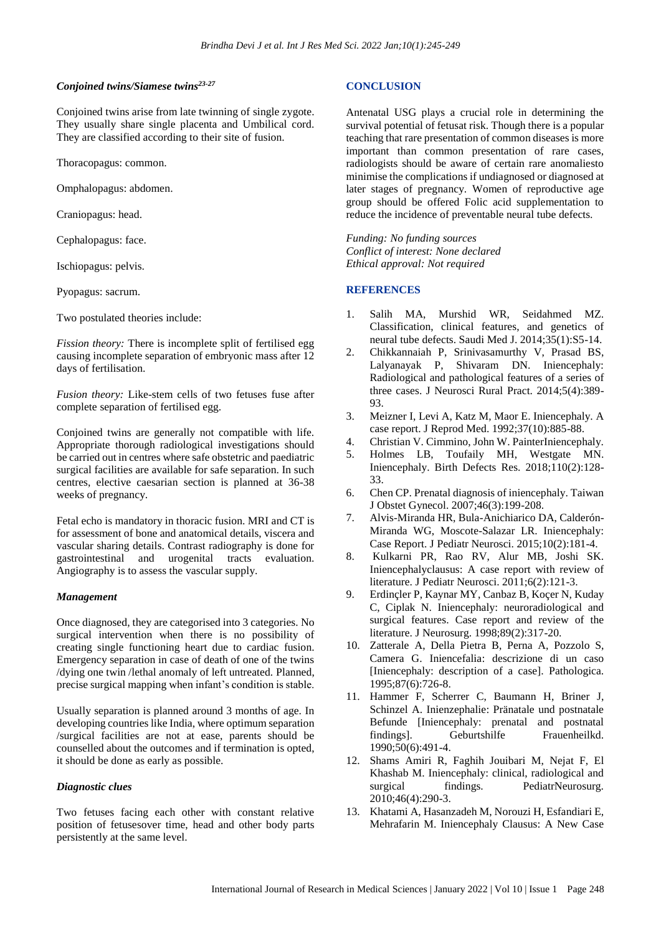#### *Conjoined twins/Siamese twins23-27*

Conjoined twins arise from late twinning of single zygote. They usually share single placenta and Umbilical cord. They are classified according to their site of fusion.

Thoracopagus: common.

Omphalopagus: abdomen.

Craniopagus: head.

Cephalopagus: face.

Ischiopagus: pelvis.

Pyopagus: sacrum.

Two postulated theories include:

*Fission theory:* There is incomplete split of fertilised egg causing incomplete separation of embryonic mass after 12 days of fertilisation.

*Fusion theory:* Like-stem cells of two fetuses fuse after complete separation of fertilised egg.

Conjoined twins are generally not compatible with life. Appropriate thorough radiological investigations should be carried out in centres where safe obstetric and paediatric surgical facilities are available for safe separation. In such centres, elective caesarian section is planned at 36-38 weeks of pregnancy.

Fetal echo is mandatory in thoracic fusion. MRI and CT is for assessment of bone and anatomical details, viscera and vascular sharing details. Contrast radiography is done for gastrointestinal and urogenital tracts evaluation. Angiography is to assess the vascular supply.

#### *Management*

Once diagnosed, they are categorised into 3 categories. No surgical intervention when there is no possibility of creating single functioning heart due to cardiac fusion. Emergency separation in case of death of one of the twins /dying one twin /lethal anomaly of left untreated. Planned, precise surgical mapping when infant's condition is stable.

Usually separation is planned around 3 months of age. In developing countries like India, where optimum separation /surgical facilities are not at ease, parents should be counselled about the outcomes and if termination is opted, it should be done as early as possible.

#### *Diagnostic clues*

Two fetuses facing each other with constant relative position of fetusesover time, head and other body parts persistently at the same level.

#### **CONCLUSION**

Antenatal USG plays a crucial role in determining the survival potential of fetusat risk. Though there is a popular teaching that rare presentation of common diseases is more important than common presentation of rare cases, radiologists should be aware of certain rare anomaliesto minimise the complications if undiagnosed or diagnosed at later stages of pregnancy. Women of reproductive age group should be offered Folic acid supplementation to reduce the incidence of preventable neural tube defects.

*Funding: No funding sources Conflict of interest: None declared Ethical approval: Not required*

#### **REFERENCES**

- 1. Salih MA, Murshid WR, Seidahmed MZ. Classification, clinical features, and genetics of neural tube defects. Saudi Med J. 2014;35(1):S5-14.
- 2. Chikkannaiah P, Srinivasamurthy V, Prasad BS, Lalyanayak P, Shivaram DN. Iniencephaly: Radiological and pathological features of a series of three cases. J Neurosci Rural Pract. 2014;5(4):389- 93.
- 3. Meizner I, Levi A, Katz M, Maor E. Iniencephaly. A case report. J Reprod Med. 1992;37(10):885-88.
- 4. Christian V. Cimmino, John W. PainterIniencephaly.
- 5. Holmes LB, Toufaily MH, Westgate MN. Iniencephaly. Birth Defects Res. 2018;110(2):128- 33.
- 6. Chen CP. Prenatal diagnosis of iniencephaly. Taiwan J Obstet Gynecol. 2007;46(3):199-208.
- 7. Alvis-Miranda HR, Bula-Anichiarico DA, Calderón-Miranda WG, Moscote-Salazar LR. Iniencephaly: Case Report. J Pediatr Neurosci. 2015;10(2):181-4.
- 8. Kulkarni PR, Rao RV, Alur MB, Joshi SK. Iniencephalyclausus: A case report with review of literature. J Pediatr Neurosci. 2011;6(2):121-3.
- 9. Erdinçler P, Kaynar MY, Canbaz B, Koçer N, Kuday C, Ciplak N. Iniencephaly: neuroradiological and surgical features. Case report and review of the literature. J Neurosurg. 1998;89(2):317-20.
- 10. Zatterale A, Della Pietra B, Perna A, Pozzolo S, Camera G. Iniencefalia: descrizione di un caso [Iniencephaly: description of a case]. Pathologica. 1995;87(6):726-8.
- 11. Hammer F, Scherrer C, Baumann H, Briner J, Schinzel A. Inienzephalie: Pränatale und postnatale Befunde [Iniencephaly: prenatal and postnatal findings]. Geburtshilfe Frauenheilkd. 1990;50(6):491-4.
- 12. Shams Amiri R, Faghih Jouibari M, Nejat F, El Khashab M. Iniencephaly: clinical, radiological and surgical findings. PediatrNeurosurg. 2010;46(4):290-3.
- 13. Khatami A, Hasanzadeh M, Norouzi H, Esfandiari E, Mehrafarin M. Iniencephaly Clausus: A New Case